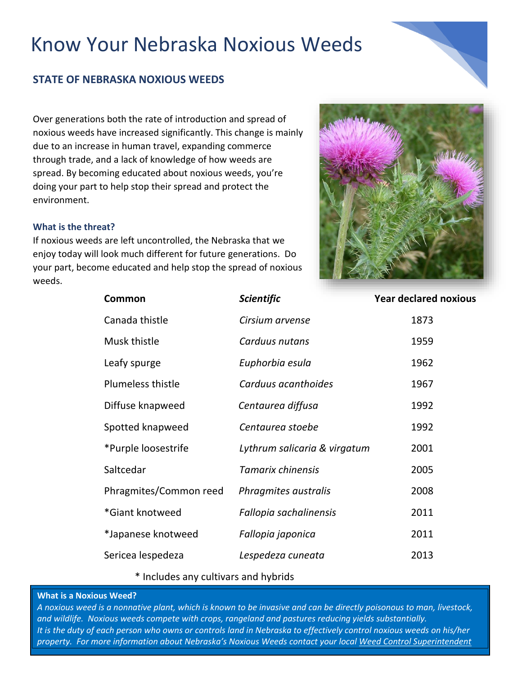# **STATE OF NEBRASKA NOXIOUS WEEDS**

Over generations both the rate of introduction and spread of noxious weeds have increased significantly. This change is mainly due to an increase in human travel, expanding commerce through trade, and a lack of knowledge of how weeds are spread. By becoming educated about noxious weeds, you're doing your part to help stop their spread and protect the environment.

# **What is the threat?**

If noxious weeds are left uncontrolled, the Nebraska that we enjoy today will look much different for future generations. Do your part, become educated and help stop the spread of noxious weeds.



| Common                 | <b>Scientific</b>            | <b>Year declared noxious</b> |
|------------------------|------------------------------|------------------------------|
| Canada thistle         | Cirsium arvense              | 1873                         |
| Musk thistle           | Carduus nutans               | 1959                         |
| Leafy spurge           | Euphorbia esula              | 1962                         |
| Plumeless thistle      | Carduus acanthoides          | 1967                         |
| Diffuse knapweed       | Centaurea diffusa            | 1992                         |
| Spotted knapweed       | Centaurea stoebe             | 1992                         |
| *Purple loosestrife    | Lythrum salicaria & virgatum | 2001                         |
| Saltcedar              | Tamarix chinensis            | 2005                         |
| Phragmites/Common reed | Phragmites australis         | 2008                         |
| *Giant knotweed        | Fallopia sachalinensis       | 2011                         |
| *Japanese knotweed     | Fallopia japonica            | 2011                         |
| Sericea lespedeza      | Lespedeza cuneata            | 2013                         |
|                        |                              |                              |

\* Includes any cultivars and hybrids

#### **What is a Noxious Weed?**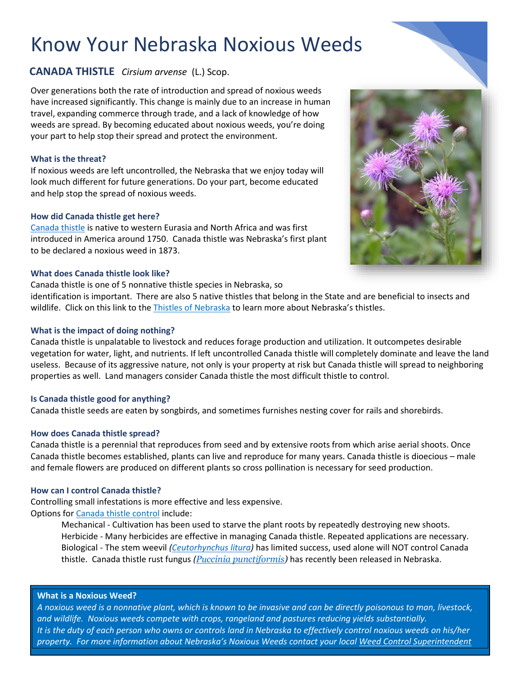# **CANADA THISTLE** *Cirsium arvense* (L.) Scop.

Over generations both the rate of introduction and spread of noxious weeds have increased significantly. This change is mainly due to an increase in human travel, expanding commerce through trade, and a lack of knowledge of how weeds are spread. By becoming educated about noxious weeds, you're doing your part to help stop their spread and protect the environment.

# **What is the threat?**

If noxious weeds are left uncontrolled, the Nebraska that we enjoy today will look much different for future generations. Do your part, become educated and help stop the spread of noxious weeds.

# **How did Canada thistle get here?**

[Canada thistle](https://www.lancaster.ne.gov/DocumentCenter/View/390/Canada-Thistle) is native to western Eurasia and North Africa and was first introduced in America around 1750. Canada thistle was Nebraska's first plant to be declared a noxious weed in 1873.

# **What does Canada thistle look like?**

Canada thistle is one of 5 nonnative thistle species in Nebraska, so

identification is important. There are also 5 native thistles that belong in the State and are beneficial to insects and wildlife. Click on this link to the [Thistles of Nebraska](https://www.lancaster.ne.gov/DocumentCenter/View/8365/Thistles-of-Nebraska) to learn more about Nebraska's thistles.

# **What is the impact of doing nothing?**

Canada thistle is unpalatable to livestock and reduces forage production and utilization. It outcompetes desirable vegetation for water, light, and nutrients. If left uncontrolled Canada thistle will completely dominate and leave the land useless. Because of its aggressive nature, not only is your property at risk but Canada thistle will spread to neighboring properties as well. Land managers consider Canada thistle the most difficult thistle to control.

# **Is Canada thistle good for anything?**

Canada thistle seeds are eaten by songbirds, and sometimes furnishes nesting cover for rails and shorebirds.

# **How does Canada thistle spread?**

Canada thistle is a perennial that reproduces from seed and by extensive roots from which arise aerial shoots. Once Canada thistle becomes established, plants can live and reproduce for many years. Canada thistle is dioecious – male and female flowers are produced on different plants so cross pollination is necessary for seed production.

# **How can I control Canada thistle?**

Controlling small infestations is more effective and less expensive. Options for [Canada](https://www.lancaster.ne.gov/DocumentCenter/View/390/Canada-Thistle) thistle control include:

Mechanical - Cultivation has been used to starve the plant roots by repeatedly destroying new shoots. Herbicide - Many herbicides are effective in managing Canada thistle. Repeated applications are necessary. Biological - The stem weevil *[\(Ceutorhynchus litura\)](http://mtwow.org/Ceutorhynchus-litura.htm)* has limited success, used alone will NOT control Canada thistle. Canada thistle rust fungus *([Puccinia punctiformis\)](https://ag.colorado.gov/conservation/biocontrol/canada-thistle)* has recently been released in Nebraska.

# **What is a Noxious Weed?**

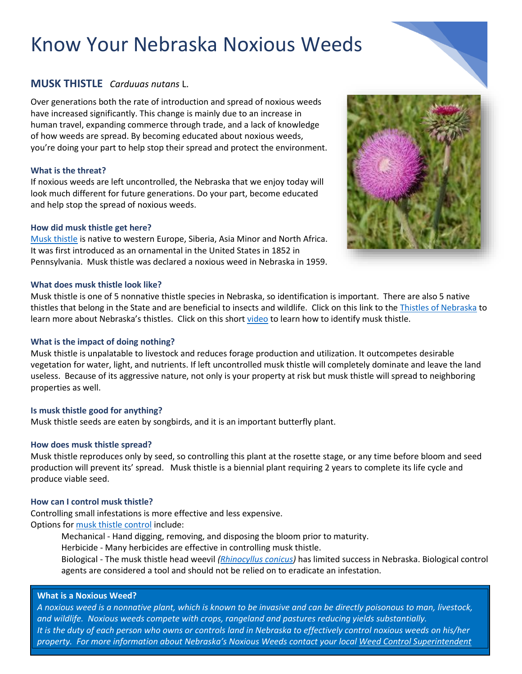# **MUSK THISTLE** *Carduuas nutans* L.

Over generations both the rate of introduction and spread of noxious weeds have increased significantly. This change is mainly due to an increase in human travel, expanding commerce through trade, and a lack of knowledge of how weeds are spread. By becoming educated about noxious weeds, you're doing your part to help stop their spread and protect the environment.

# **What is the threat?**

If noxious weeds are left uncontrolled, the Nebraska that we enjoy today will look much different for future generations. Do your part, become educated and help stop the spread of noxious weeds.

#### **How did musk thistle get here?**

[Musk thistle](https://www.lancaster.ne.gov/DocumentCenter/View/394/Musk-Thistle) is native to western Europe, Siberia, Asia Minor and North Africa. It was first introduced as an ornamental in the United States in 1852 in Pennsylvania. Musk thistle was declared a noxious weed in Nebraska in 1959.

#### **What does musk thistle look like?**

Musk thistle is one of 5 nonnative thistle species in Nebraska, so identification is important. There are also 5 native thistles that belong in the State and are beneficial to insects and wildlife. Click on this link to the [Thistles of Nebraska](https://www.lancaster.ne.gov/DocumentCenter/View/8365/Thistles-of-Nebraska) to learn more about Nebraska's thistles. Click on this short [video](https://www.youtube.com/watch?v=-q1JbjGdWVI&feature=youtu.be) to learn how to identify musk thistle.

### **What is the impact of doing nothing?**

Musk thistle is unpalatable to livestock and reduces forage production and utilization. It outcompetes desirable vegetation for water, light, and nutrients. If left uncontrolled musk thistle will completely dominate and leave the land useless. Because of its aggressive nature, not only is your property at risk but musk thistle will spread to neighboring properties as well.

#### **Is musk thistle good for anything?**

Musk thistle seeds are eaten by songbirds, and it is an important butterfly plant.

# **How does musk thistle spread?**

Musk thistle reproduces only by seed, so controlling this plant at the rosette stage, or any time before bloom and seed production will prevent its' spread. Musk thistle is a biennial plant requiring 2 years to complete its life cycle and produce viable seed.

#### **How can I control musk thistle?**

Controlling small infestations is more effective and less expensive. Options for [musk thistle control](https://www.lancaster.ne.gov/DocumentCenter/View/394/Musk-Thistle) include:

Mechanical - Hand digging, removing, and disposing the bloom prior to maturity.

Herbicide - Many herbicides are effective in controlling musk thistle.

Biological - The musk thistle head weevil *[\(Rhinocyllus conicus\)](https://biocontrol.entomology.cornell.edu/weedfeed/Rhinocyllus.php)* has limited success in Nebraska. Biological control agents are considered a tool and should not be relied on to eradicate an infestation.

#### **What is a Noxious Weed?**

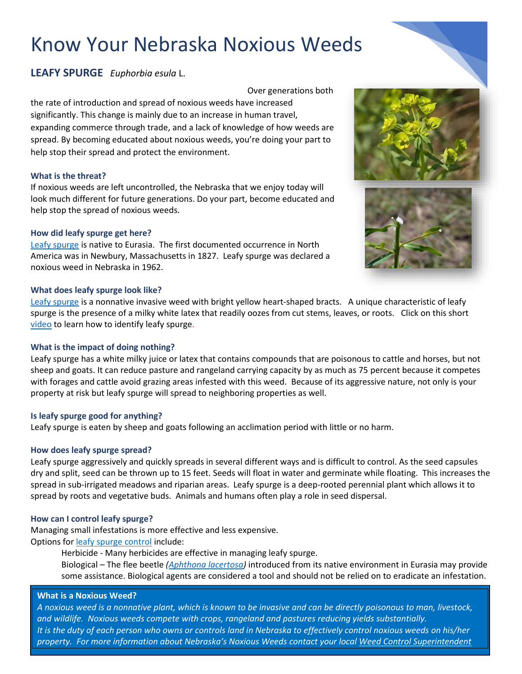# **LEAFY SPURGE** *Euphorbia esula* L.

Over generations both

the rate of introduction and spread of noxious weeds have increased significantly. This change is mainly due to an increase in human travel, expanding commerce through trade, and a lack of knowledge of how weeds are spread. By becoming educated about noxious weeds, you're doing your part to help stop their spread and protect the environment.

# **What is the threat?**

If noxious weeds are left uncontrolled, the Nebraska that we enjoy today will look much different for future generations. Do your part, become educated and help stop the spread of noxious weeds.

#### **How did leafy spurge get here?**

[Leafy spurge](https://www.lancaster.ne.gov/DocumentCenter/View/393/Leafy-Spurge) is native to Eurasia. The first documented occurrence in North America was in Newbury, Massachusetts in 1827. Leafy spurge was declared a noxious weed in Nebraska in 1962.

#### **What does leafy spurge look like?**

[Leafy spurge](https://www.invasiveplantatlas.org/subject.html?sub=3405) is a nonnative invasive weed with bright yellow heart-shaped bracts. A unique characteristic of leafy spurge is the presence of a milky white latex that readily oozes from cut stems, leaves, or roots. Click on this short [video](https://www.youtube.com/watch?v=E_EQyedwegY&feature=youtu.be) to learn how to identify leafy spurge.

# **What is the impact of doing nothing?**

Leafy spurge has a white milky juice or latex that contains compounds that are poisonous to cattle and horses, but not sheep and goats. It can reduce pasture and rangeland carrying capacity by as much as 75 percent because it competes with forages and cattle avoid grazing areas infested with this weed. Because of its aggressive nature, not only is your property at risk but leafy spurge will spread to neighboring properties as well.

#### **Is leafy spurge good for anything?**

Leafy spurge is eaten by sheep and goats following an acclimation period with little or no harm.

# **How does leafy spurge spread?**

Leafy spurge aggressively and quickly spreads in several different ways and is difficult to control. As the seed capsules dry and split, seed can be thrown up to 15 feet. Seeds will float in water and germinate while floating. This increases the spread in sub-irrigated meadows and riparian areas. Leafy spurge is a deep-rooted perennial plant which allows it to spread by roots and vegetative buds. Animals and humans often play a role in seed dispersal.

# **How can I control leafy spurge?**

Managing small infestations is more effective and less expensive. Options for [leafy spurge control](https://www.lancaster.ne.gov/DocumentCenter/View/393/Leafy-Spurge) include:

> Herbicide - Many herbicides are effective in managing leafy spurge. Biological – The flee beetle *[\(Aphthona lacertosa\)](https://biocontrol.entomology.cornell.edu/weedfeed/AphthonaLacertosa.php)* introduced from its native environment in Eurasia may provide some assistance. Biological agents are considered a tool and should not be relied on to eradicate an infestation.

#### **What is a Noxious Weed?**



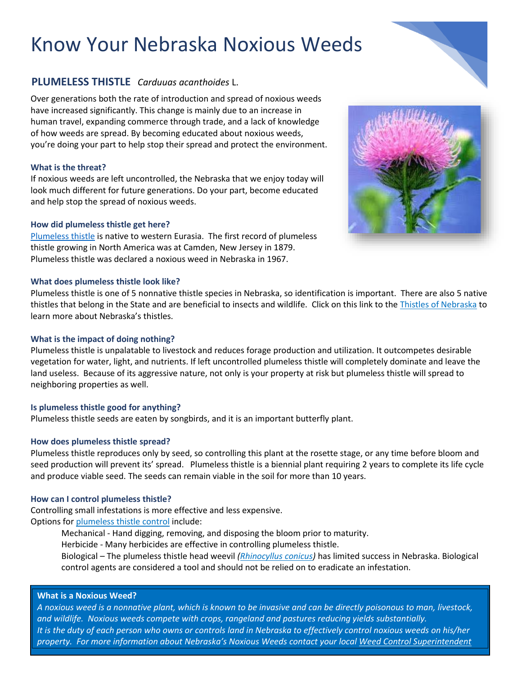# **PLUMELESS THISTLE** *Carduuas acanthoides* L.

Over generations both the rate of introduction and spread of noxious weeds have increased significantly. This change is mainly due to an increase in human travel, expanding commerce through trade, and a lack of knowledge of how weeds are spread. By becoming educated about noxious weeds, you're doing your part to help stop their spread and protect the environment.

### **What is the threat?**

If noxious weeds are left uncontrolled, the Nebraska that we enjoy today will look much different for future generations. Do your part, become educated and help stop the spread of noxious weeds.

#### **How did plumeless thistle get here?**

[Plumeless thistle](https://www.lancaster.ne.gov/DocumentCenter/View/385/Plumeless-Thistle) is native to western Eurasia. The first record of plumeless thistle growing in North America was at Camden, New Jersey in 1879. Plumeless thistle was declared a noxious weed in Nebraska in 1967.

#### **What does plumeless thistle look like?**

Plumeless thistle is one of 5 nonnative thistle species in Nebraska, so identification is important. There are also 5 native thistles that belong in the State and are beneficial to insects and wildlife. Click on this link to the [Thistles of Nebraska](https://www.lancaster.ne.gov/DocumentCenter/View/8365/Thistles-of-Nebraska) to learn more about Nebraska's thistles.

#### **What is the impact of doing nothing?**

Plumeless thistle is unpalatable to livestock and reduces forage production and utilization. It outcompetes desirable vegetation for water, light, and nutrients. If left uncontrolled plumeless thistle will completely dominate and leave the land useless. Because of its aggressive nature, not only is your property at risk but plumeless thistle will spread to neighboring properties as well.

# **Is plumeless thistle good for anything?**

Plumeless thistle seeds are eaten by songbirds, and it is an important butterfly plant.

#### **How does plumeless thistle spread?**

Plumeless thistle reproduces only by seed, so controlling this plant at the rosette stage, or any time before bloom and seed production will prevent its' spread. Plumeless thistle is a biennial plant requiring 2 years to complete its life cycle and produce viable seed. The seeds can remain viable in the soil for more than 10 years.

#### **How can I control plumeless thistle?**

Controlling small infestations is more effective and less expensive. Options for [plumeless thistle control](https://www.lancaster.ne.gov/DocumentCenter/View/385/Plumeless-Thistle) include:

Mechanical - Hand digging, removing, and disposing the bloom prior to maturity.

Herbicide - Many herbicides are effective in controlling plumeless thistle.

Biological – The plumeless thistle head weevil *[\(Rhinocyllus conicus\)](https://biocontrol.entomology.cornell.edu/weedfeed/Rhinocyllus.php)* has limited success in Nebraska. Biological control agents are considered a tool and should not be relied on to eradicate an infestation.

#### **What is a Noxious Weed?**



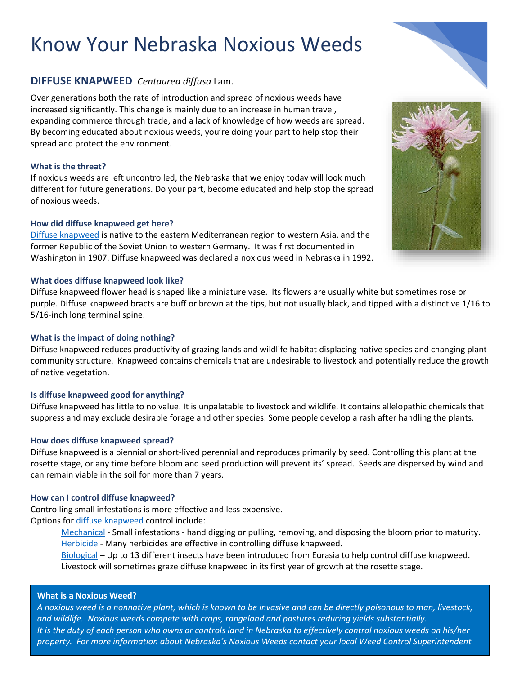# **DIFFUSE KNAPWEED** *Centaurea diffusa* Lam.

Over generations both the rate of introduction and spread of noxious weeds have increased significantly. This change is mainly due to an increase in human travel, expanding commerce through trade, and a lack of knowledge of how weeds are spread. By becoming educated about noxious weeds, you're doing your part to help stop their spread and protect the environment.

# **What is the threat?**

If noxious weeds are left uncontrolled, the Nebraska that we enjoy today will look much different for future generations. Do your part, become educated and help stop the spread of noxious weeds.

# **How did diffuse knapweed get here?**

[Diffuse knapweed](https://www.lancaster.ne.gov/DocumentCenter/View/389/Spotted-and-Diffuse-Knapweed) is native to the eastern Mediterranean region to western Asia, and the former Republic of the Soviet Union to western Germany. It was first documented in Washington in 1907. Diffuse knapweed was declared a noxious weed in Nebraska in 1992.

# **What does diffuse knapweed look like?**

Diffuse knapweed flower head is shaped like a miniature vase. Its flowers are usually white but sometimes rose or purple. Diffuse knapweed bracts are buff or brown at the tips, but not usually black, and tipped with a distinctive 1/16 to 5/16-inch long terminal spine.

# **What is the impact of doing nothing?**

Diffuse knapweed reduces productivity of grazing lands and wildlife habitat displacing native species and changing plant community structure. Knapweed contains chemicals that are undesirable to livestock and potentially reduce the growth of native vegetation.

# **Is diffuse knapweed good for anything?**

Diffuse knapweed has little to no value. It is unpalatable to livestock and wildlife. It contains allelopathic chemicals that suppress and may exclude desirable forage and other species. Some people develop a rash after handling the plants.

# **How does diffuse knapweed spread?**

Diffuse knapweed is a biennial or short-lived perennial and reproduces primarily by seed. Controlling this plant at the rosette stage, or any time before bloom and seed production will prevent its' spread. Seeds are dispersed by wind and can remain viable in the soil for more than 7 years.

# **How can I control diffuse knapweed?**

Controlling small infestations is more effective and less expensive. Options for [diffuse knapweed](https://www.lancaster.ne.gov/DocumentCenter/View/389/Spotted-and-Diffuse-Knapweed) control include:

> [Mechanical](http://www.fcwp.org/images/designated%20and%20declared%20weeds/diffuse%20knapweed/Diffuse%20knapweed.pdf) - Small infestations - hand digging or pulling, removing, and disposing the bloom prior to maturity. [Herbicide](http://www.fcwp.org/images/designated%20and%20declared%20weeds/diffuse%20knapweed/Diffuse%20knapweed.pdf) - Many herbicides are effective in controlling diffuse knapweed.

[Biological](https://www.invasive.org/publications/aphis/knapwpub.pdf) – Up to 13 different insects have been introduced from Eurasia to help control diffuse knapweed. Livestock will sometimes graze diffuse knapweed in its first year of growth at the rosette stage.

# **What is a Noxious Weed?**



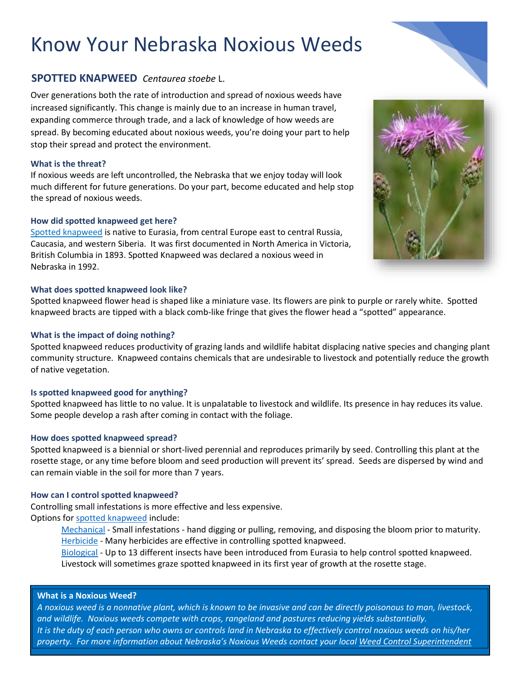# **SPOTTED KNAPWEED** *Centaurea stoebe* L.

Over generations both the rate of introduction and spread of noxious weeds have increased significantly. This change is mainly due to an increase in human travel, expanding commerce through trade, and a lack of knowledge of how weeds are spread. By becoming educated about noxious weeds, you're doing your part to help stop their spread and protect the environment.

# **What is the threat?**

If noxious weeds are left uncontrolled, the Nebraska that we enjoy today will look much different for future generations. Do your part, become educated and help stop the spread of noxious weeds.

# **How did spotted knapweed get here?**

[Spotted knapweed](https://www.lancaster.ne.gov/DocumentCenter/View/389/Spotted-and-Diffuse-Knapweed) is native to Eurasia, from central Europe east to central Russia, Caucasia, and western Siberia. It was first documented in North America in Victoria, British Columbia in 1893. Spotted Knapweed was declared a noxious weed in Nebraska in 1992.

# **What does spotted knapweed look like?**

Spotted knapweed flower head is shaped like a miniature vase. Its flowers are pink to purple or rarely white. Spotted knapweed bracts are tipped with a black comb-like fringe that gives the flower head a "spotted" appearance.

# **What is the impact of doing nothing?**

Spotted knapweed reduces productivity of grazing lands and wildlife habitat displacing native species and changing plant community structure. Knapweed contains chemicals that are undesirable to livestock and potentially reduce the growth of native vegetation.

# **Is spotted knapweed good for anything?**

Spotted knapweed has little to no value. It is unpalatable to livestock and wildlife. Its presence in hay reduces its value. Some people develop a rash after coming in contact with the foliage.

# **How does spotted knapweed spread?**

Spotted knapweed is a biennial or short-lived perennial and reproduces primarily by seed. Controlling this plant at the rosette stage, or any time before bloom and seed production will prevent its' spread. Seeds are dispersed by wind and can remain viable in the soil for more than 7 years.

# **How can I control spotted knapweed?**

Controlling small infestations is more effective and less expensive.

Options for [spotted knapweed](https://www.lancaster.ne.gov/DocumentCenter/View/389/Spotted-and-Diffuse-Knapweed) include:

[Mechanical](https://wric.ucdavis.edu/information/natural%20areas/wr_C/Centaurea_stoebe.pdf) - Small infestations - hand digging or pulling, removing, and disposing the bloom prior to maturity. [Herbicide](https://wric.ucdavis.edu/information/natural%20areas/wr_C/Centaurea_stoebe.pdf) - Many herbicides are effective in controlling spotted knapweed.

[Biological](https://www.invasive.org/publications/aphis/knapwpub.pdf) - Up to 13 different insects have been introduced from Eurasia to help control spotted knapweed. Livestock will sometimes graze spotted knapweed in its first year of growth at the rosette stage.

# **What is a Noxious Weed?**



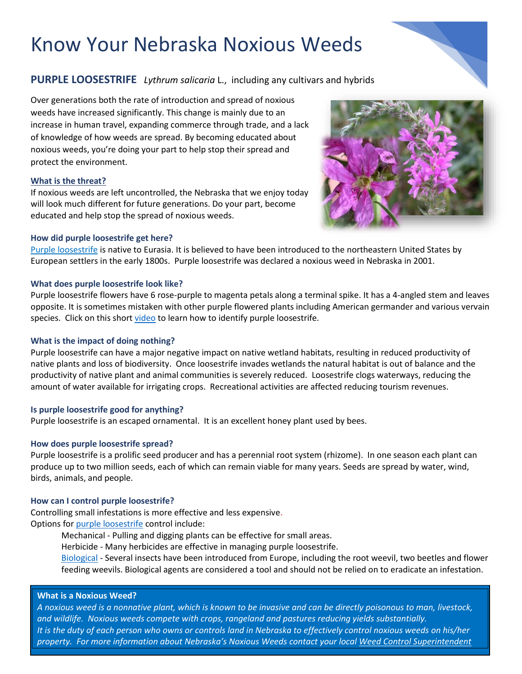# **PURPLE LOOSESTRIFE** *Lythrum salicaria* L., including any cultivars and hybrids

Over generations both the rate of introduction and spread of noxious weeds have increased significantly. This change is mainly due to an increase in human travel, expanding commerce through trade, and a lack of knowledge of how weeds are spread. By becoming educated about noxious weeds, you're doing your part to help stop their spread and protect the environment.

# **What is the threat?**

If noxious weeds are left uncontrolled, the Nebraska that we enjoy today will look much different for future generations. Do your part, become educated and help stop the spread of noxious weeds.

#### **How did purple loosestrife get here?**

[Purple loosestrife](https://www.lancaster.ne.gov/DocumentCenter/View/386/Purple-Loosestrife) is native to Eurasia. It is believed to have been introduced to the northeastern United States by European settlers in the early 1800s. Purple loosestrife was declared a noxious weed in Nebraska in 2001.

#### **What does purple loosestrife look like?**

Purple loosestrife flowers have 6 rose-purple to magenta petals along a terminal spike. It has a 4-angled stem and leaves opposite. It is sometimes mistaken with other purple flowered plants including American germander and various vervain species. Click on this short [video](https://www.youtube.com/watch?v=Yre6fN84TOg) to learn how to identify purple loosestrife.

### **What is the impact of doing nothing?**

Purple loosestrife can have a major negative impact on native wetland habitats, resulting in reduced productivity of native plants and loss of biodiversity. Once loosestrife invades wetlands the natural habitat is out of balance and the productivity of native plant and animal communities is severely reduced. Loosestrife clogs waterways, reducing the amount of water available for irrigating crops. Recreational activities are affected reducing tourism revenues.

# **Is purple loosestrife good for anything?**

Purple loosestrife is an escaped ornamental. It is an excellent honey plant used by bees.

# **How does purple loosestrife spread?**

Purple loosestrife is a prolific seed producer and has a perennial root system (rhizome). In one season each plant can produce up to two million seeds, each of which can remain viable for many years. Seeds are spread by water, wind, birds, animals, and people.

#### **How can I control purple loosestrife?**

Controlling small infestations is more effective and less expensive. Options for [purple loosestrife](https://www.lancaster.ne.gov/DocumentCenter/View/386/Purple-Loosestrife) control include:

Mechanical - Pulling and digging plants can be effective for small areas.

Herbicide - Many herbicides are effective in managing purple loosestrife.

[Biological](https://bugwoodcloud.org/resource/files/6225.pdf) - Several insects have been introduced from Europe, including the root weevil, two beetles and flower feeding weevils. Biological agents are considered a tool and should not be relied on to eradicate an infestation.

#### **What is a Noxious Weed?**

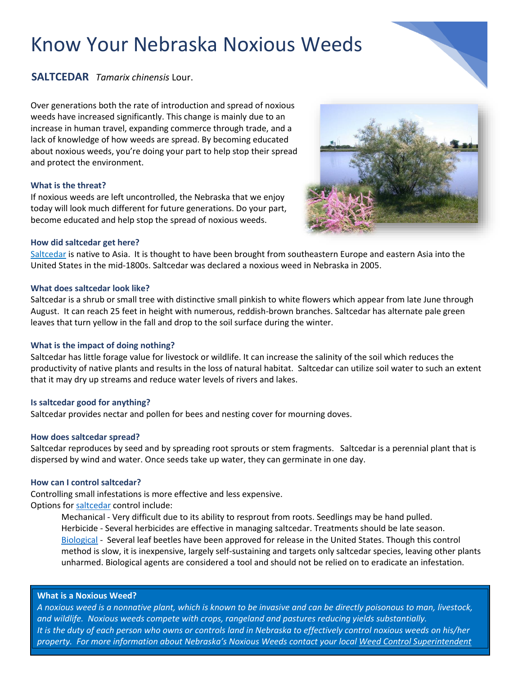

Over generations both the rate of introduction and spread of noxious weeds have increased significantly. This change is mainly due to an increase in human travel, expanding commerce through trade, and a lack of knowledge of how weeds are spread. By becoming educated about noxious weeds, you're doing your part to help stop their spread and protect the environment.

#### **What is the threat?**

If noxious weeds are left uncontrolled, the Nebraska that we enjoy today will look much different for future generations. Do your part, become educated and help stop the spread of noxious weeds.

#### **How did saltcedar get here?**

[Saltcedar](https://www.lancaster.ne.gov/DocumentCenter/View/387/Saltcedar) is native to Asia. It is thought to have been brought from southeastern Europe and eastern Asia into the United States in the mid-1800s. Saltcedar was declared a noxious weed in Nebraska in 2005.

#### **What does saltcedar look like?**

Saltcedar is a shrub or small tree with distinctive small pinkish to white flowers which appear from late June through August. It can reach 25 feet in height with numerous, reddish-brown branches. Saltcedar has alternate pale green leaves that turn yellow in the fall and drop to the soil surface during the winter.

#### **What is the impact of doing nothing?**

Saltcedar has little forage value for livestock or wildlife. It can increase the salinity of the soil which reduces the productivity of native plants and results in the loss of natural habitat. Saltcedar can utilize soil water to such an extent that it may dry up streams and reduce water levels of rivers and lakes.

# **Is saltcedar good for anything?**

Saltcedar provides nectar and pollen for bees and nesting cover for mourning doves.

#### **How does saltcedar spread?**

Saltcedar reproduces by seed and by spreading root sprouts or stem fragments. Saltcedar is a perennial plant that is dispersed by wind and water. Once seeds take up water, they can germinate in one day.

#### **How can I control saltcedar?**

Controlling small infestations is more effective and less expensive. Options for [saltcedar](https://www.lancaster.ne.gov/DocumentCenter/View/387/Saltcedar) control include:

> Mechanical - Very difficult due to its ability to resprout from roots. Seedlings may be hand pulled. Herbicide - Several herbicides are effective in managing saltcedar. Treatments should be late season. [Biological](https://agrilifeextension.tamu.edu/library/ranching/biological-control-of-saltcedar/) - Several leaf beetles have been approved for release in the United States. Though this control method is slow, it is inexpensive, largely self-sustaining and targets only saltcedar species, leaving other plants unharmed. Biological agents are considered a tool and should not be relied on to eradicate an infestation.

#### **What is a Noxious Weed?**



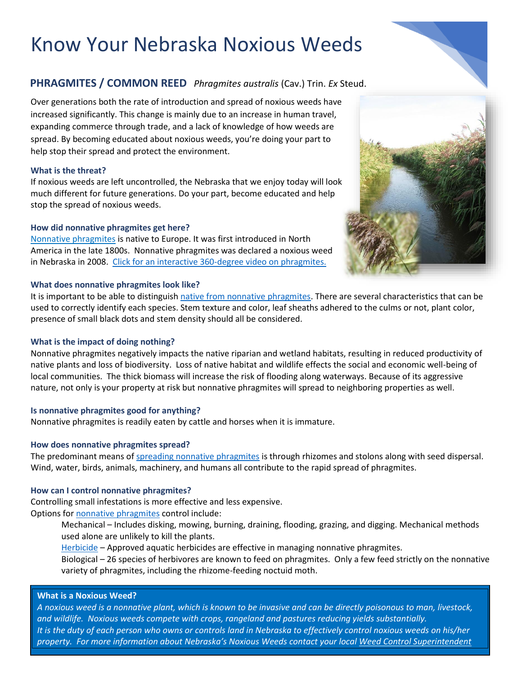# **PHRAGMITES / COMMON REED** *Phragmites australis* (Cav.) Trin. *Ex* Steud.

Over generations both the rate of introduction and spread of noxious weeds have increased significantly. This change is mainly due to an increase in human travel, expanding commerce through trade, and a lack of knowledge of how weeds are spread. By becoming educated about noxious weeds, you're doing your part to help stop their spread and protect the environment.

### **What is the threat?**

If noxious weeds are left uncontrolled, the Nebraska that we enjoy today will look much different for future generations. Do your part, become educated and help stop the spread of noxious weeds.

#### **How did nonnative phragmites get here?**

[Nonnative phragmites](https://www.lancaster.ne.gov/DocumentCenter/View/395/Phragmites--Common-Reed) is native to Europe. It was first introduced in North America in the late 1800s. Nonnative phragmites was declared a noxious weed in Nebraska in 2008. [Click for an interactive 360-degree video on phragmites.](https://www.youtube.com/watch?v=p8ZFUzW9zrk&feature=youtu.be)

#### **What does nonnative phragmites look like?**

It is important to be able to distinguish [native from nonnative phragmites.](https://www.lancaster.ne.gov/DocumentCenter/View/7796/Phragmites-Identification--Native-vs-Non-native) There are several characteristics that can be used to correctly identify each species. Stem texture and color, leaf sheaths adhered to the culms or not, plant color, presence of small black dots and stem density should all be considered.

# **What is the impact of doing nothing?**

Nonnative phragmites negatively impacts the native riparian and wetland habitats, resulting in reduced productivity of native plants and loss of biodiversity. Loss of native habitat and wildlife effects the social and economic well-being of local communities. The thick biomass will increase the risk of flooding along waterways. Because of its aggressive nature, not only is your property at risk but nonnative phragmites will spread to neighboring properties as well.

# **Is nonnative phragmites good for anything?**

Nonnative phragmites is readily eaten by cattle and horses when it is immature.

# **How does nonnative phragmites spread?**

The predominant means of [spreading nonnative phragmites](https://www.lancaster.ne.gov/DocumentCenter/View/7798/Landowner-Guide-to-Understanding--Controlling-Phragmites) is through rhizomes and stolons along with seed dispersal. Wind, water, birds, animals, machinery, and humans all contribute to the rapid spread of phragmites.

#### **How can I control nonnative phragmites?**

Controlling small infestations is more effective and less expensive.

Options for [nonnative phragmites](https://www.lancaster.ne.gov/DocumentCenter/View/395/Phragmites--Common-Reed) control include:

Mechanical – Includes disking, mowing, burning, draining, flooding, grazing, and digging. Mechanical methods used alone are unlikely to kill the plants.

[Herbicide](https://www.lancaster.ne.gov/DocumentCenter/View/7797/Guide-to-Long-term-Phragmites-Management) – Approved aquatic herbicides are effective in managing nonnative phragmites.

Biological – 26 species of herbivores are known to feed on phragmites. Only a few feed strictly on the nonnative variety of phragmites, including the rhizome-feeding noctuid moth.

#### **What is a Noxious Weed?**



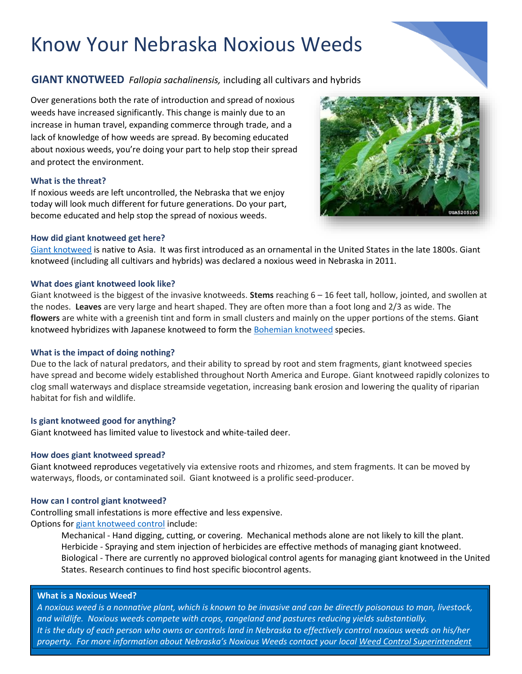# **GIANT KNOTWEED** *Fallopia sachalinensis,* including all cultivars and hybrids

Over generations both the rate of introduction and spread of noxious weeds have increased significantly. This change is mainly due to an increase in human travel, expanding commerce through trade, and a lack of knowledge of how weeds are spread. By becoming educated about noxious weeds, you're doing your part to help stop their spread and protect the environment.

#### **What is the threat?**

If noxious weeds are left uncontrolled, the Nebraska that we enjoy today will look much different for future generations. Do your part, become educated and help stop the spread of noxious weeds.

#### **How did giant knotweed get here?**

[Giant knotweed](https://www.lancaster.ne.gov/DocumentCenter/View/392/Japanese-and-Giant-Knotweed) is native to Asia. It was first introduced as an ornamental in the United States in the late 1800s. Giant knotweed (including all cultivars and hybrids) was declared a noxious weed in Nebraska in 2011.

#### **What does giant knotweed look like?**

Giant knotweed is the biggest of the invasive knotweeds. **Stems** reaching 6 – 16 feet tall, hollow, jointed, and swollen at the nodes. **Leaves** are very large and heart shaped. They are often more than a foot long and 2/3 as wide. The **flowers** are white with a greenish tint and form in small clusters and mainly on the upper portions of the stems. Giant knotweed hybridizes with Japanese knotweed to form the [Bohemian knotweed](https://www.mda.state.mn.us/bohemian-knotweed) species.

# **What is the impact of doing nothing?**

Due to the lack of natural predators, and their ability to spread by root and stem fragments, giant knotweed species have spread and become widely established throughout North America and Europe. Giant knotweed rapidly colonizes to clog small waterways and displace streamside vegetation, increasing bank erosion and lowering the quality of riparian habitat for fish and wildlife.

# **Is giant knotweed good for anything?**

Giant knotweed has limited value to livestock and white-tailed deer.

#### **How does giant knotweed spread?**

Giant knotweed reproduces vegetatively via extensive roots and rhizomes, and stem fragments. It can be moved by waterways, floods, or contaminated soil. Giant knotweed is a prolific seed-producer.

#### **How can I control giant knotweed?**

Controlling small infestations is more effective and less expensive. Options for [giant knotweed](https://pnwhandbooks.org/weed/problem-weeds/knotweed-bohemian-polygonum-bohemicum-japanese-polygonum-cuspidatum-giant-polygonum-sachalinense) control include:

> Mechanical - Hand digging, cutting, or covering. Mechanical methods alone are not likely to kill the plant. Herbicide - Spraying and stem injection of herbicides are effective methods of managing giant knotweed. Biological - There are currently no approved biological control agents for managing giant knotweed in the United States. Research continues to find host specific biocontrol agents.

#### **What is a Noxious Weed?**



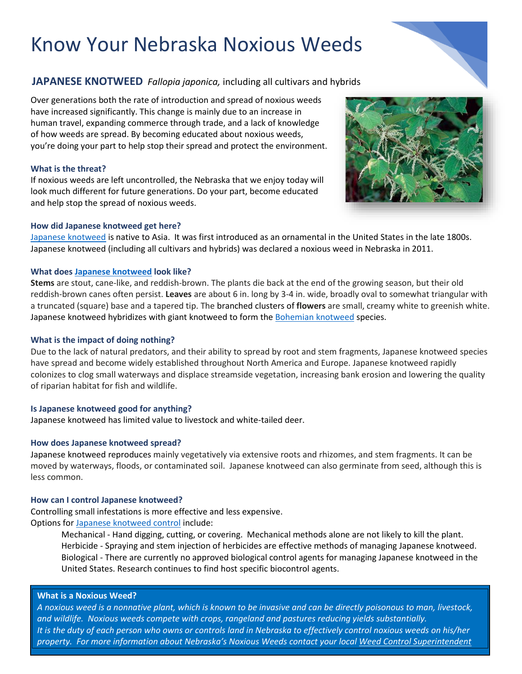# **JAPANESE KNOTWEED** *Fallopia japonica,* including all cultivars and hybrids

Over generations both the rate of introduction and spread of noxious weeds have increased significantly. This change is mainly due to an increase in human travel, expanding commerce through trade, and a lack of knowledge of how weeds are spread. By becoming educated about noxious weeds, you're doing your part to help stop their spread and protect the environment.

# **What is the threat?**

If noxious weeds are left uncontrolled, the Nebraska that we enjoy today will look much different for future generations. Do your part, become educated and help stop the spread of noxious weeds.

#### **How did Japanese knotweed get here?**

[Japanese knotweed](https://www.lancaster.ne.gov/DocumentCenter/View/392/Japanese-and-Giant-Knotweed) is native to Asia. It was first introduced as an ornamental in the United States in the late 1800s. Japanese knotweed (including all cultivars and hybrids) was declared a noxious weed in Nebraska in 2011.

#### **What does [Japanese knotweed](https://www.kingcounty.gov/services/environment/animals-and-plants/noxious-weeds/weed-identification/invasive-knotweeds/japanese-knotweed.aspx) look like?**

**Stems** are stout, cane-like, and reddish-brown. The plants die back at the end of the growing season, but their old reddish-brown canes often persist. **Leaves** are about 6 in. long by 3-4 in. wide, broadly oval to somewhat triangular with a truncated (square) base and a tapered tip. The branched clusters of **flowers** are small, creamy white to greenish white. Japanese knotweed hybridizes with giant knotweed to form th[e Bohemian knotweed](https://www.mda.state.mn.us/bohemian-knotweed) species.

### **What is the impact of doing nothing?**

Due to the lack of natural predators, and their ability to spread by root and stem fragments, Japanese knotweed species have spread and become widely established throughout North America and Europe. Japanese knotweed rapidly colonizes to clog small waterways and displace streamside vegetation, increasing bank erosion and lowering the quality of riparian habitat for fish and wildlife.

# **Is Japanese knotweed good for anything?**

Japanese knotweed has limited value to livestock and white-tailed deer.

# **How does Japanese knotweed spread?**

Japanese knotweed reproduces mainly vegetatively via extensive roots and rhizomes, and stem fragments. It can be moved by waterways, floods, or contaminated soil. Japanese knotweed can also germinate from seed, although this is less common.

#### **How can I control Japanese knotweed?**

Controlling small infestations is more effective and less expensive. Options for [Japanese knotweed](https://www.invasive.org/gist/moredocs/polspp01.pdf) control include:

> Mechanical - Hand digging, cutting, or covering. Mechanical methods alone are not likely to kill the plant. Herbicide - Spraying and stem injection of herbicides are effective methods of managing Japanese knotweed. Biological - There are currently no approved biological control agents for managing Japanese knotweed in the United States. Research continues to find host specific biocontrol agents.

#### **What is a Noxious Weed?**